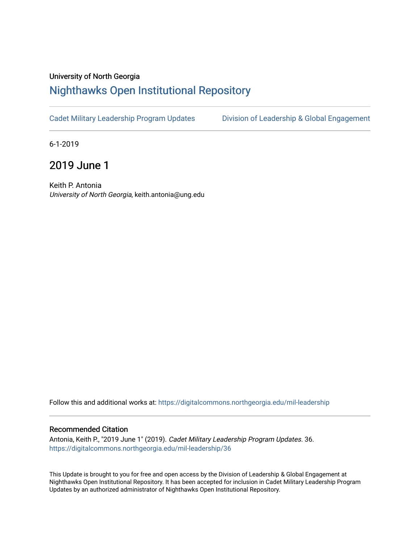## University of North Georgia

## [Nighthawks Open Institutional Repository](https://digitalcommons.northgeorgia.edu/)

[Cadet Military Leadership Program Updates](https://digitalcommons.northgeorgia.edu/mil-leadership) [Division of Leadership & Global Engagement](https://digitalcommons.northgeorgia.edu/leadership) 

6-1-2019

2019 June 1

Keith P. Antonia University of North Georgia, keith.antonia@ung.edu

Follow this and additional works at: [https://digitalcommons.northgeorgia.edu/mil-leadership](https://digitalcommons.northgeorgia.edu/mil-leadership?utm_source=digitalcommons.northgeorgia.edu%2Fmil-leadership%2F36&utm_medium=PDF&utm_campaign=PDFCoverPages) 

## Recommended Citation

Antonia, Keith P., "2019 June 1" (2019). Cadet Military Leadership Program Updates. 36. [https://digitalcommons.northgeorgia.edu/mil-leadership/36](https://digitalcommons.northgeorgia.edu/mil-leadership/36?utm_source=digitalcommons.northgeorgia.edu%2Fmil-leadership%2F36&utm_medium=PDF&utm_campaign=PDFCoverPages)

This Update is brought to you for free and open access by the Division of Leadership & Global Engagement at Nighthawks Open Institutional Repository. It has been accepted for inclusion in Cadet Military Leadership Program Updates by an authorized administrator of Nighthawks Open Institutional Repository.